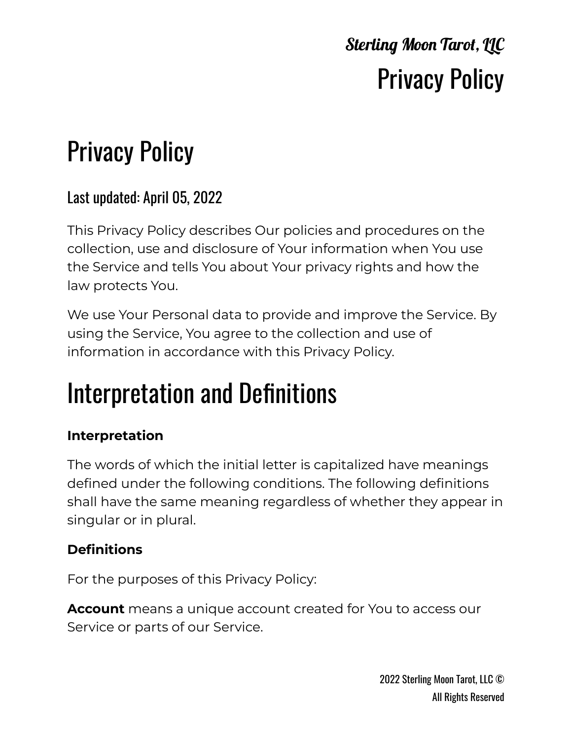# Privacy Policy

#### Last updated: April 05, 2022

This Privacy Policy describes Our policies and procedures on the collection, use and disclosure of Your information when You use the Service and tells You about Your privacy rights and how the law protects You.

We use Your Personal data to provide and improve the Service. By using the Service, You agree to the collection and use of information in accordance with this Privacy Policy.

## Interpretation and Definitions

#### **Interpretation**

The words of which the initial letter is capitalized have meanings defined under the following conditions. The following definitions shall have the same meaning regardless of whether they appear in singular or in plural.

#### **Definitions**

For the purposes of this Privacy Policy:

**Account** means a unique account created for You to access our Service or parts of our Service.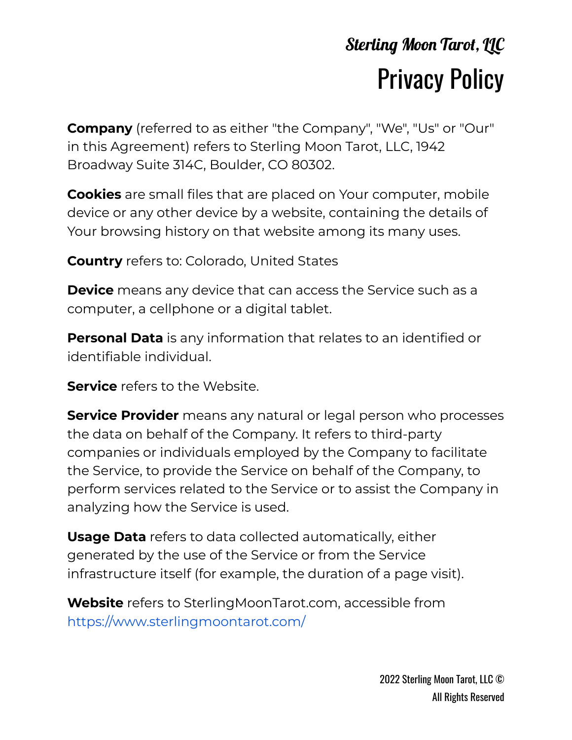**Company** (referred to as either "the Company", "We", "Us" or "Our" in this Agreement) refers to Sterling Moon Tarot, LLC, 1942 Broadway Suite 314C, Boulder, CO 80302.

**Cookies** are small files that are placed on Your computer, mobile device or any other device by a website, containing the details of Your browsing history on that website among its many uses.

**Country** refers to: Colorado, United States

**Device** means any device that can access the Service such as a computer, a cellphone or a digital tablet.

**Personal Data** is any information that relates to an identified or identifiable individual.

**Service** refers to the Website.

**Service Provider** means any natural or legal person who processes the data on behalf of the Company. It refers to third-party companies or individuals employed by the Company to facilitate the Service, to provide the Service on behalf of the Company, to perform services related to the Service or to assist the Company in analyzing how the Service is used.

**Usage Data** refers to data collected automatically, either generated by the use of the Service or from the Service infrastructure itself (for example, the duration of a page visit).

**Website** refers to SterlingMoonTarot.com, accessible fro[m](https://www.sterlingmoontarot.com/) <https://www.sterlingmoontarot.com/>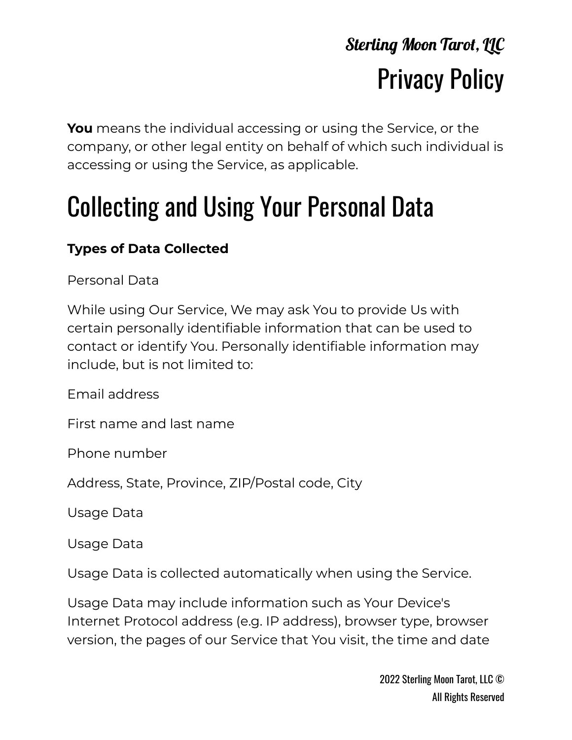**You** means the individual accessing or using the Service, or the company, or other legal entity on behalf of which such individual is accessing or using the Service, as applicable.

# Collecting and Using Your Personal Data

#### **Types of Data Collected**

Personal Data

While using Our Service, We may ask You to provide Us with certain personally identifiable information that can be used to contact or identify You. Personally identifiable information may include, but is not limited to:

Email address

First name and last name

Phone number

Address, State, Province, ZIP/Postal code, City

Usage Data

Usage Data

Usage Data is collected automatically when using the Service.

Usage Data may include information such as Your Device's Internet Protocol address (e.g. IP address), browser type, browser version, the pages of our Service that You visit, the time and date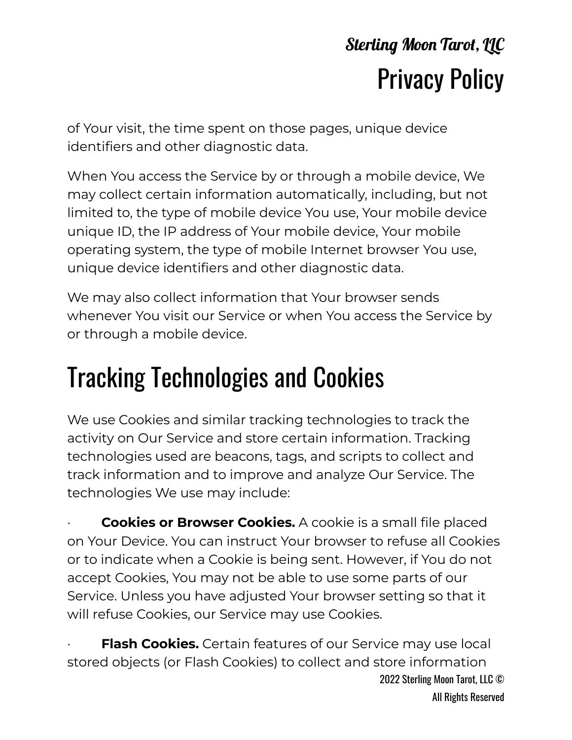of Your visit, the time spent on those pages, unique device identifiers and other diagnostic data.

When You access the Service by or through a mobile device, We may collect certain information automatically, including, but not limited to, the type of mobile device You use, Your mobile device unique ID, the IP address of Your mobile device, Your mobile operating system, the type of mobile Internet browser You use, unique device identifiers and other diagnostic data.

We may also collect information that Your browser sends whenever You visit our Service or when You access the Service by or through a mobile device.

# Tracking Technologies and Cookies

We use Cookies and similar tracking technologies to track the activity on Our Service and store certain information. Tracking technologies used are beacons, tags, and scripts to collect and track information and to improve and analyze Our Service. The technologies We use may include:

· **Cookies or Browser Cookies.** A cookie is a small file placed on Your Device. You can instruct Your browser to refuse all Cookies or to indicate when a Cookie is being sent. However, if You do not accept Cookies, You may not be able to use some parts of our Service. Unless you have adjusted Your browser setting so that it will refuse Cookies, our Service may use Cookies.

**Flash Cookies.** Certain features of our Service may use local stored objects (or Flash Cookies) to collect and store information 2022 Sterling Moon Tarot, LLC © All Rights Reserved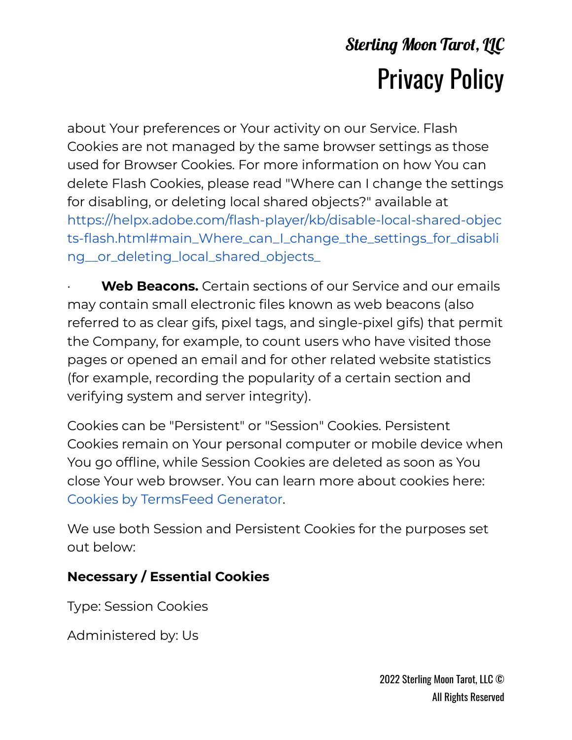about Your preferences or Your activity on our Service. Flash Cookies are not managed by the same browser settings as those used for Browser Cookies. For more information on how You can delete Flash Cookies, please read "Where can I change the settings for disabling, or deleting local shared objects?" available a[t](https://helpx.adobe.com/flash-player/kb/disable-local-shared-objects-flash.html#main_Where_can_I_change_the_settings_for_disabling__or_deleting_local_shared_objects_) [https://helpx.adobe.com/flash-player/kb/disable-local-shared-objec](https://helpx.adobe.com/flash-player/kb/disable-local-shared-objects-flash.html#main_Where_can_I_change_the_settings_for_disabling__or_deleting_local_shared_objects_) [ts-flash.html#main\\_Where\\_can\\_I\\_change\\_the\\_settings\\_for\\_disabli](https://helpx.adobe.com/flash-player/kb/disable-local-shared-objects-flash.html#main_Where_can_I_change_the_settings_for_disabling__or_deleting_local_shared_objects_) [ng\\_\\_or\\_deleting\\_local\\_shared\\_objects\\_](https://helpx.adobe.com/flash-player/kb/disable-local-shared-objects-flash.html#main_Where_can_I_change_the_settings_for_disabling__or_deleting_local_shared_objects_)

**Web Beacons.** Certain sections of our Service and our emails may contain small electronic files known as web beacons (also referred to as clear gifs, pixel tags, and single-pixel gifs) that permit the Company, for example, to count users who have visited those pages or opened an email and for other related website statistics (for example, recording the popularity of a certain section and verifying system and server integrity).

Cookies can be "Persistent" or "Session" Cookies. Persistent Cookies remain on Your personal computer or mobile device when You go offline, while Session Cookies are deleted as soon as You close Your web browser. You can learn more about cookies here[:](https://www.termsfeed.com/privacy-policy-generator/#faq-8) Cookies by [TermsFeed](https://www.termsfeed.com/privacy-policy-generator/#faq-8) Generator.

We use both Session and Persistent Cookies for the purposes set out below:

#### **Necessary / Essential Cookies**

Type: Session Cookies

Administered by: Us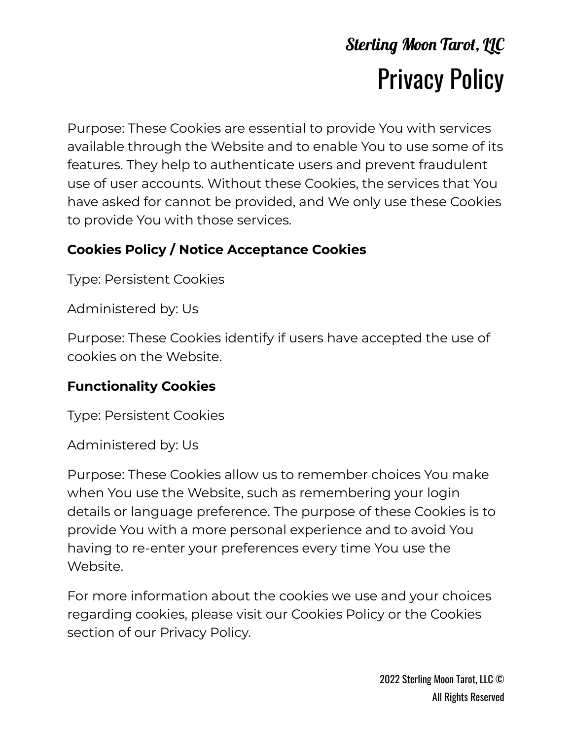Purpose: These Cookies are essential to provide You with services available through the Website and to enable You to use some of its features. They help to authenticate users and prevent fraudulent use of user accounts. Without these Cookies, the services that You have asked for cannot be provided, and We only use these Cookies to provide You with those services.

#### **Cookies Policy / Notice Acceptance Cookies**

Type: Persistent Cookies

Administered by: Us

Purpose: These Cookies identify if users have accepted the use of cookies on the Website.

#### **Functionality Cookies**

Type: Persistent Cookies

Administered by: Us

Purpose: These Cookies allow us to remember choices You make when You use the Website, such as remembering your login details or language preference. The purpose of these Cookies is to provide You with a more personal experience and to avoid You having to re-enter your preferences every time You use the Website.

For more information about the cookies we use and your choices regarding cookies, please visit our Cookies Policy or the Cookies section of our Privacy Policy.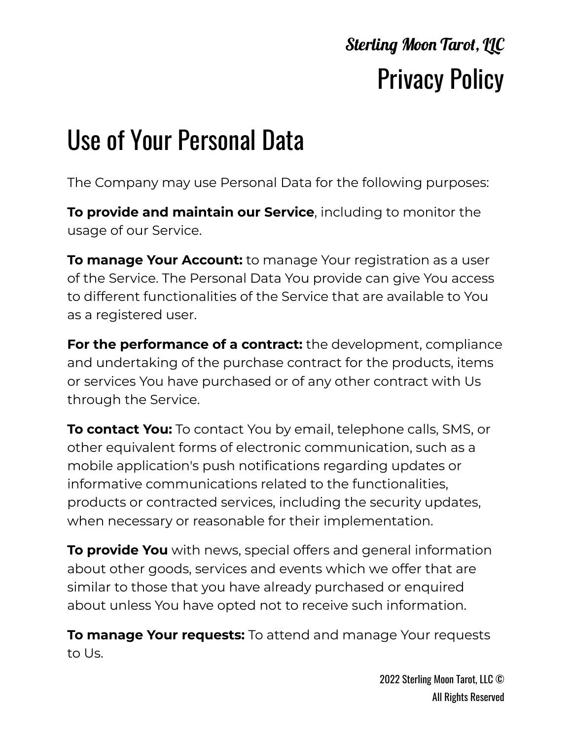# Use of Your Personal Data

The Company may use Personal Data for the following purposes:

**To provide and maintain our Service**, including to monitor the usage of our Service.

**To manage Your Account:** to manage Your registration as a user of the Service. The Personal Data You provide can give You access to different functionalities of the Service that are available to You as a registered user.

**For the performance of a contract:** the development, compliance and undertaking of the purchase contract for the products, items or services You have purchased or of any other contract with Us through the Service.

**To contact You:** To contact You by email, telephone calls, SMS, or other equivalent forms of electronic communication, such as a mobile application's push notifications regarding updates or informative communications related to the functionalities, products or contracted services, including the security updates, when necessary or reasonable for their implementation.

**To provide You** with news, special offers and general information about other goods, services and events which we offer that are similar to those that you have already purchased or enquired about unless You have opted not to receive such information.

**To manage Your requests:** To attend and manage Your requests to Us.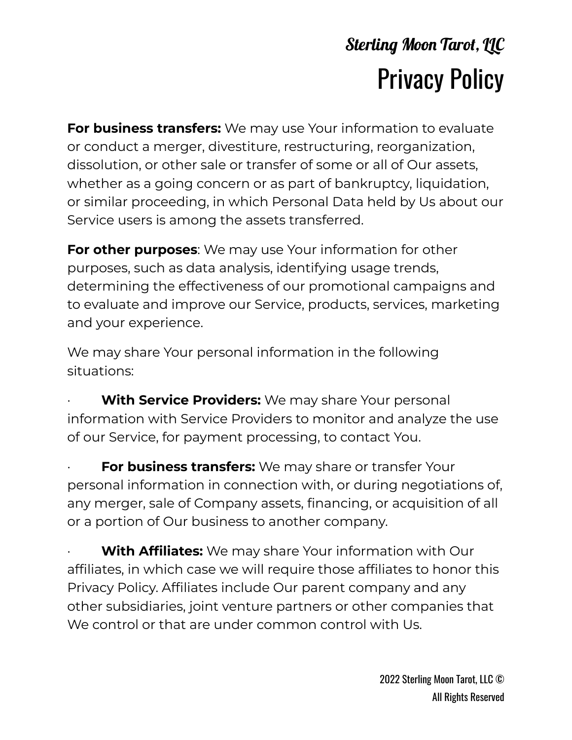**For business transfers:** We may use Your information to evaluate or conduct a merger, divestiture, restructuring, reorganization, dissolution, or other sale or transfer of some or all of Our assets, whether as a going concern or as part of bankruptcy, liquidation, or similar proceeding, in which Personal Data held by Us about our Service users is among the assets transferred.

**For other purposes**: We may use Your information for other purposes, such as data analysis, identifying usage trends, determining the effectiveness of our promotional campaigns and to evaluate and improve our Service, products, services, marketing and your experience.

We may share Your personal information in the following situations:

**With Service Providers:** We may share Your personal information with Service Providers to monitor and analyze the use of our Service, for payment processing, to contact You.

**For business transfers:** We may share or transfer Your personal information in connection with, or during negotiations of, any merger, sale of Company assets, financing, or acquisition of all or a portion of Our business to another company.

**With Affiliates:** We may share Your information with Our affiliates, in which case we will require those affiliates to honor this Privacy Policy. Affiliates include Our parent company and any other subsidiaries, joint venture partners or other companies that We control or that are under common control with Us.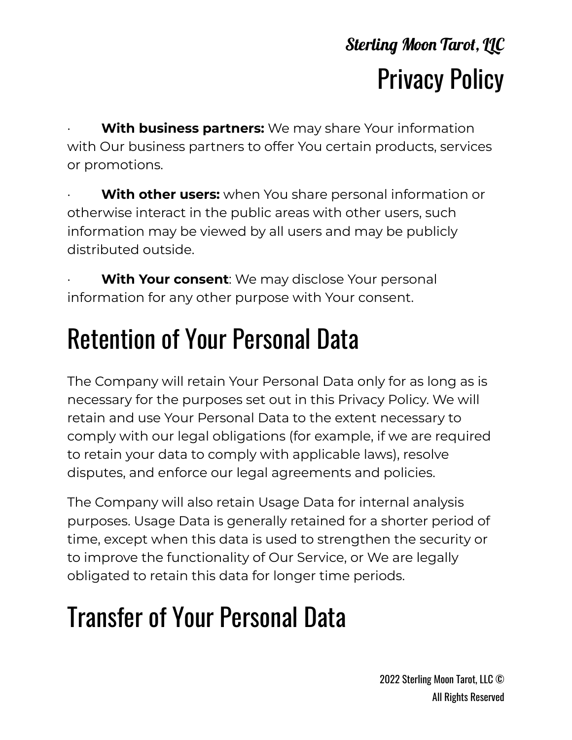**With business partners:** We may share Your information with Our business partners to offer You certain products, services or promotions.

**With other users:** when You share personal information or otherwise interact in the public areas with other users, such information may be viewed by all users and may be publicly distributed outside.

**With Your consent:** We may disclose Your personal information for any other purpose with Your consent.

# Retention of Your Personal Data

The Company will retain Your Personal Data only for as long as is necessary for the purposes set out in this Privacy Policy. We will retain and use Your Personal Data to the extent necessary to comply with our legal obligations (for example, if we are required to retain your data to comply with applicable laws), resolve disputes, and enforce our legal agreements and policies.

The Company will also retain Usage Data for internal analysis purposes. Usage Data is generally retained for a shorter period of time, except when this data is used to strengthen the security or to improve the functionality of Our Service, or We are legally obligated to retain this data for longer time periods.

# Transfer of Your Personal Data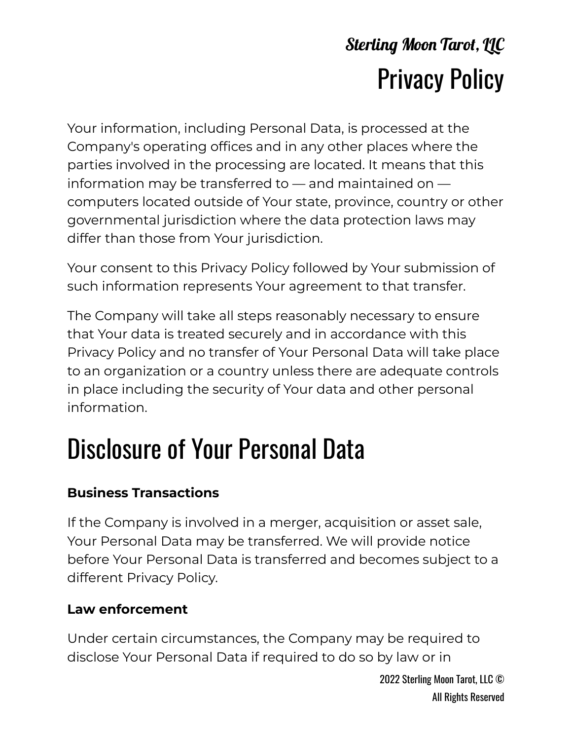Your information, including Personal Data, is processed at the Company's operating offices and in any other places where the parties involved in the processing are located. It means that this information may be transferred to — and maintained on computers located outside of Your state, province, country or other governmental jurisdiction where the data protection laws may differ than those from Your jurisdiction.

Your consent to this Privacy Policy followed by Your submission of such information represents Your agreement to that transfer.

The Company will take all steps reasonably necessary to ensure that Your data is treated securely and in accordance with this Privacy Policy and no transfer of Your Personal Data will take place to an organization or a country unless there are adequate controls in place including the security of Your data and other personal information.

# Disclosure of Your Personal Data

#### **Business Transactions**

If the Company is involved in a merger, acquisition or asset sale, Your Personal Data may be transferred. We will provide notice before Your Personal Data is transferred and becomes subject to a different Privacy Policy.

#### **Law enforcement**

Under certain circumstances, the Company may be required to disclose Your Personal Data if required to do so by law or in

> 2022 Sterling Moon Tarot, LLC © All Rights Reserved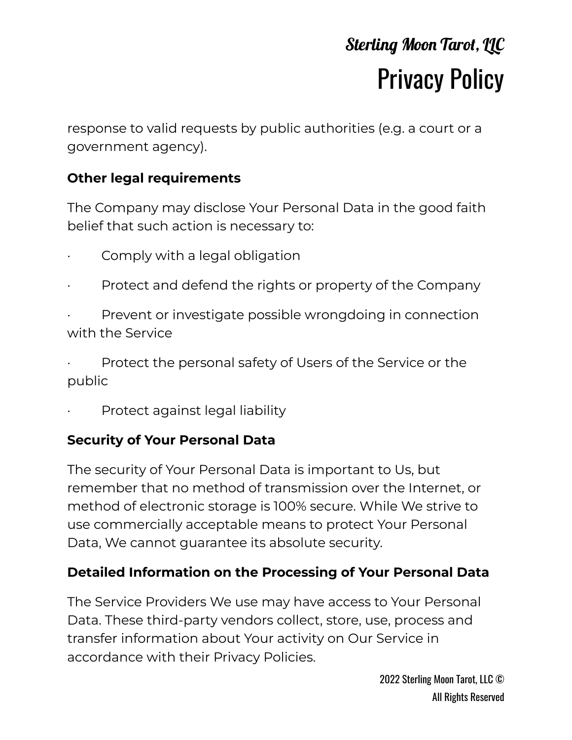response to valid requests by public authorities (e.g. a court or a government agency).

#### **Other legal requirements**

The Company may disclose Your Personal Data in the good faith belief that such action is necessary to:

- Comply with a legal obligation
- Protect and defend the rights or property of the Company
- Prevent or investigate possible wrongdoing in connection with the Service
- Protect the personal safety of Users of the Service or the public
- Protect against legal liability

#### **Security of Your Personal Data**

The security of Your Personal Data is important to Us, but remember that no method of transmission over the Internet, or method of electronic storage is 100% secure. While We strive to use commercially acceptable means to protect Your Personal Data, We cannot guarantee its absolute security.

#### **Detailed Information on the Processing of Your Personal Data**

The Service Providers We use may have access to Your Personal Data. These third-party vendors collect, store, use, process and transfer information about Your activity on Our Service in accordance with their Privacy Policies.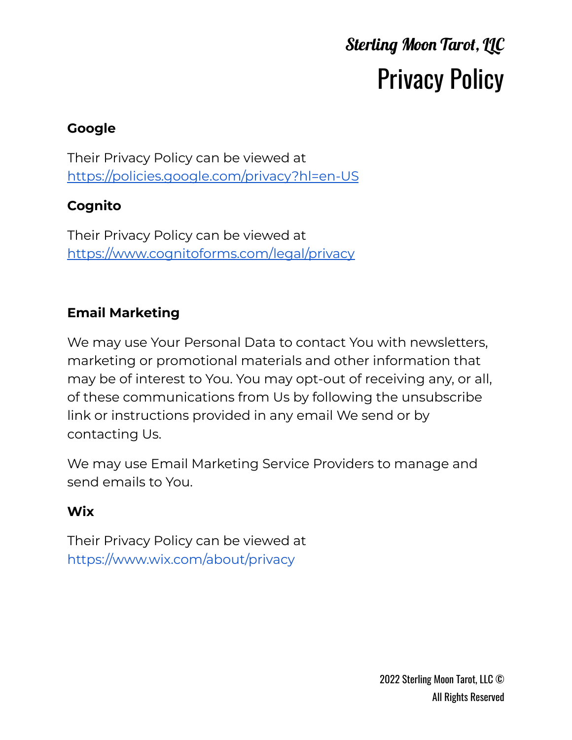#### **Google**

Their Privacy Policy can be viewed at <https://policies.google.com/privacy?hl=en-US>

#### **Cognito**

Their Privacy Policy can be viewed at <https://www.cognitoforms.com/legal/privacy>

#### **Email Marketing**

We may use Your Personal Data to contact You with newsletters, marketing or promotional materials and other information that may be of interest to You. You may opt-out of receiving any, or all, of these communications from Us by following the unsubscribe link or instructions provided in any email We send or by contacting Us.

We may use Email Marketing Service Providers to manage and send emails to You.

#### **Wix**

Their Privacy Policy can be viewed at <https://www.wix.com/about/privacy>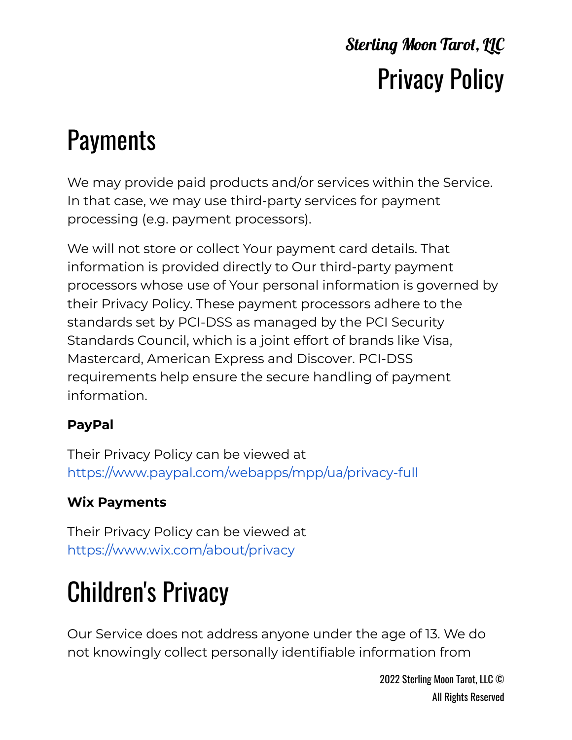### **Payments**

We may provide paid products and/or services within the Service. In that case, we may use third-party services for payment processing (e.g. payment processors).

We will not store or collect Your payment card details. That information is provided directly to Our third-party payment processors whose use of Your personal information is governed by their Privacy Policy. These payment processors adhere to the standards set by PCI-DSS as managed by the PCI Security Standards Council, which is a joint effort of brands like Visa, Mastercard, American Express and Discover. PCI-DSS requirements help ensure the secure handling of payment information.

#### **PayPal**

Their Privacy Policy can be viewed at <https://www.paypal.com/webapps/mpp/ua/privacy-full>

#### **Wix Payments**

Their Privacy Policy can be viewed at <https://www.wix.com/about/privacy>

# Children's Privacy

Our Service does not address anyone under the age of 13. We do not knowingly collect personally identifiable information from

> 2022 Sterling Moon Tarot, LLC © All Rights Reserved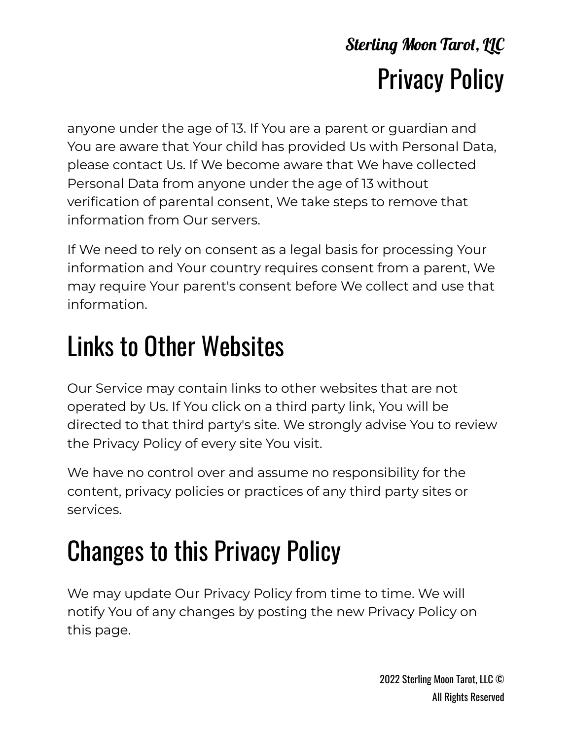anyone under the age of 13. If You are a parent or guardian and You are aware that Your child has provided Us with Personal Data, please contact Us. If We become aware that We have collected Personal Data from anyone under the age of 13 without verification of parental consent, We take steps to remove that information from Our servers.

If We need to rely on consent as a legal basis for processing Your information and Your country requires consent from a parent, We may require Your parent's consent before We collect and use that information.

# Links to Other Websites

Our Service may contain links to other websites that are not operated by Us. If You click on a third party link, You will be directed to that third party's site. We strongly advise You to review the Privacy Policy of every site You visit.

We have no control over and assume no responsibility for the content, privacy policies or practices of any third party sites or services.

# Changes to this Privacy Policy

We may update Our Privacy Policy from time to time. We will notify You of any changes by posting the new Privacy Policy on this page.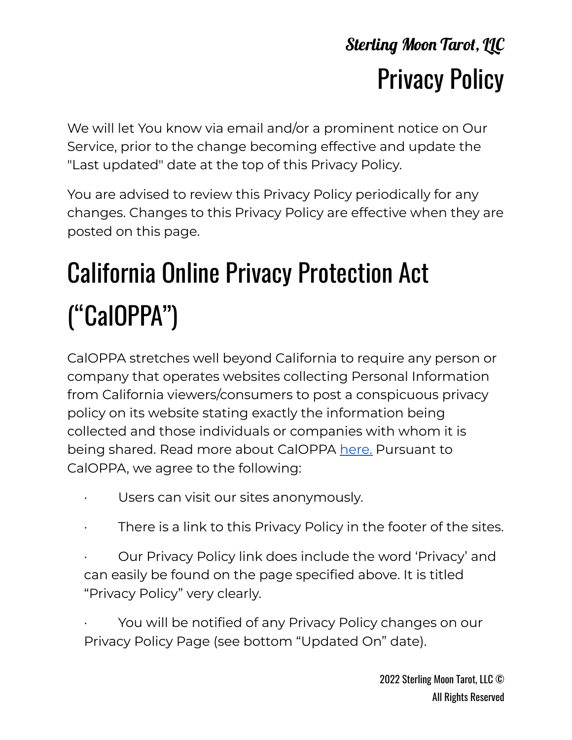We will let You know via email and/or a prominent notice on Our Service, prior to the change becoming effective and update the "Last updated" date at the top of this Privacy Policy.

You are advised to review this Privacy Policy periodically for any changes. Changes to this Privacy Policy are effective when they are posted on this page.

# California Online Privacy Protection Act ("CalOPPA")

CalOPPA stretches well beyond California to require any person or company that operates websites collecting Personal Information from California viewers/consumers to post a conspicuous privacy policy on its website stating exactly the information being collected and those individuals or companies with whom it is being shared. Read more about CalOPPA [here.](https://consumercal.org/about-cfc/cfc-education-foundation/california-online-privacy-protection-act-caloppa-3/) Pursuant to CalOPPA, we agree to the following:

- · Users can visit our sites anonymously.
- · There is a link to this Privacy Policy in the footer of the sites.
- Our Privacy Policy link does include the word 'Privacy' and can easily be found on the page specified above. It is titled "Privacy Policy" very clearly.

You will be notified of any Privacy Policy changes on our Privacy Policy Page (see bottom "Updated On" date).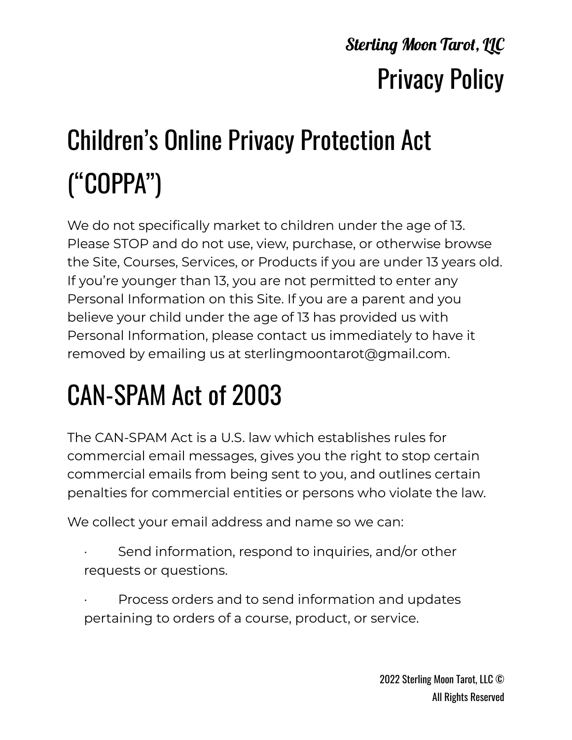# Children's Online Privacy Protection Act ("COPPA")

We do not specifically market to children under the age of 13. Please STOP and do not use, view, purchase, or otherwise browse the Site, Courses, Services, or Products if you are under 13 years old. If you're younger than 13, you are not permitted to enter any Personal Information on this Site. If you are a parent and you believe your child under the age of 13 has provided us with Personal Information, please contact us immediately to have it removed by emailing us at sterlingmoontarot@gmail.com.

# CAN-SPAM Act of 2003

The CAN-SPAM Act is a U.S. law which establishes rules for commercial email messages, gives you the right to stop certain commercial emails from being sent to you, and outlines certain penalties for commercial entities or persons who violate the law.

We collect your email address and name so we can:

- Send information, respond to inquiries, and/or other requests or questions.
- Process orders and to send information and updates pertaining to orders of a course, product, or service.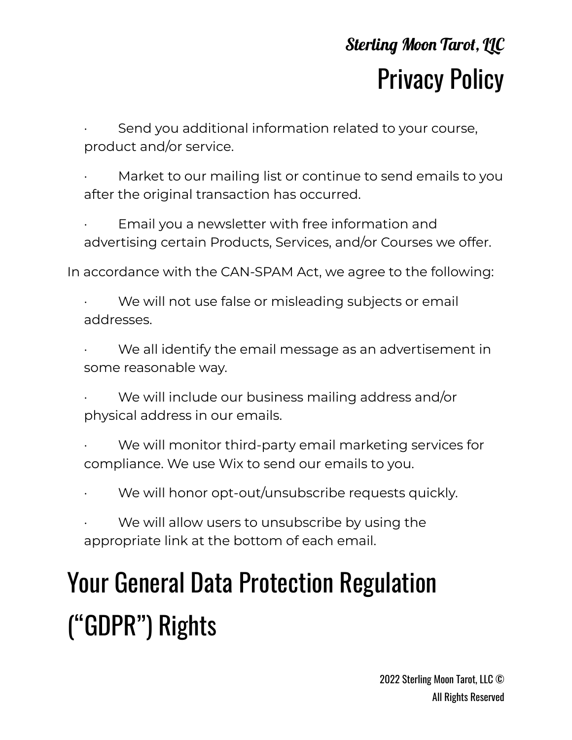Send you additional information related to your course, product and/or service.

- Market to our mailing list or continue to send emails to you after the original transaction has occurred.
- Email you a newsletter with free information and advertising certain Products, Services, and/or Courses we offer.

In accordance with the CAN-SPAM Act, we agree to the following:

- We will not use false or misleading subjects or email addresses.
- We all identify the email message as an advertisement in some reasonable way.
- We will include our business mailing address and/or physical address in our emails.
- We will monitor third-party email marketing services for compliance. We use Wix to send our emails to you.
- We will honor opt-out/unsubscribe requests quickly.
- We will allow users to unsubscribe by using the appropriate link at the bottom of each email.

# Your General Data Protection Regulation ("GDPR") Rights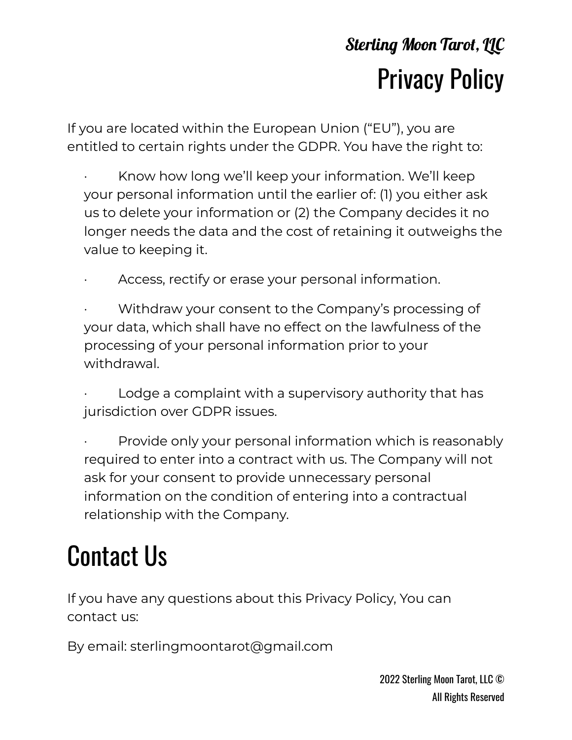If you are located within the European Union ("EU"), you are entitled to certain rights under the GDPR. You have the right to:

- Know how long we'll keep your information. We'll keep your personal information until the earlier of: (1) you either ask us to delete your information or (2) the Company decides it no longer needs the data and the cost of retaining it outweighs the value to keeping it.
- Access, rectify or erase your personal information.
- Withdraw your consent to the Company's processing of your data, which shall have no effect on the lawfulness of the processing of your personal information prior to your withdrawal.
- Lodge a complaint with a supervisory authority that has jurisdiction over GDPR issues.
- Provide only your personal information which is reasonably required to enter into a contract with us. The Company will not ask for your consent to provide unnecessary personal information on the condition of entering into a contractual relationship with the Company.

# Contact Us

If you have any questions about this Privacy Policy, You can contact us:

By email: sterlingmoontarot@gmail.com